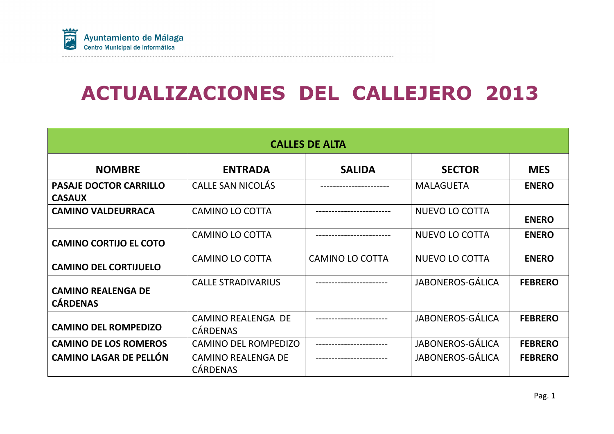

# ACTUALIZACIONES DEL CALLEJERO 2013

| <b>CALLES DE ALTA</b>                          |                                              |                        |                         |                |  |  |  |  |  |  |  |
|------------------------------------------------|----------------------------------------------|------------------------|-------------------------|----------------|--|--|--|--|--|--|--|
| <b>NOMBRE</b>                                  | <b>ENTRADA</b>                               | <b>SALIDA</b>          | <b>SECTOR</b>           | <b>MES</b>     |  |  |  |  |  |  |  |
| <b>PASAJE DOCTOR CARRILLO</b><br><b>CASAUX</b> | <b>CALLE SAN NICOLÁS</b>                     |                        | <b>MALAGUETA</b>        | <b>ENERO</b>   |  |  |  |  |  |  |  |
| <b>CAMINO VALDEURRACA</b>                      | <b>CAMINO LO COTTA</b>                       |                        | <b>NUEVO LO COTTA</b>   | <b>ENERO</b>   |  |  |  |  |  |  |  |
| <b>CAMINO CORTIJO EL COTO</b>                  | <b>CAMINO LO COTTA</b>                       |                        | <b>NUEVO LO COTTA</b>   | <b>ENERO</b>   |  |  |  |  |  |  |  |
| <b>CAMINO DEL CORTIJUELO</b>                   | <b>CAMINO LO COTTA</b>                       | <b>CAMINO LO COTTA</b> | <b>NUEVO LO COTTA</b>   | <b>ENERO</b>   |  |  |  |  |  |  |  |
| <b>CAMINO REALENGA DE</b><br><b>CÁRDENAS</b>   | <b>CALLE STRADIVARIUS</b>                    |                        | <b>JABONEROS-GÁLICA</b> | <b>FEBRERO</b> |  |  |  |  |  |  |  |
| <b>CAMINO DEL ROMPEDIZO</b>                    | <b>CAMINO REALENGA DE</b><br><b>CÁRDENAS</b> |                        | <b>JABONEROS-GÁLICA</b> | <b>FEBRERO</b> |  |  |  |  |  |  |  |
| <b>CAMINO DE LOS ROMEROS</b>                   | <b>CAMINO DEL ROMPEDIZO</b>                  |                        | JABONEROS-GÁLICA        | <b>FEBRERO</b> |  |  |  |  |  |  |  |
| <b>CAMINO LAGAR DE PELLÓN</b>                  | <b>CAMINO REALENGA DE</b><br><b>CÁRDENAS</b> |                        | <b>JABONEROS-GÁLICA</b> | <b>FEBRERO</b> |  |  |  |  |  |  |  |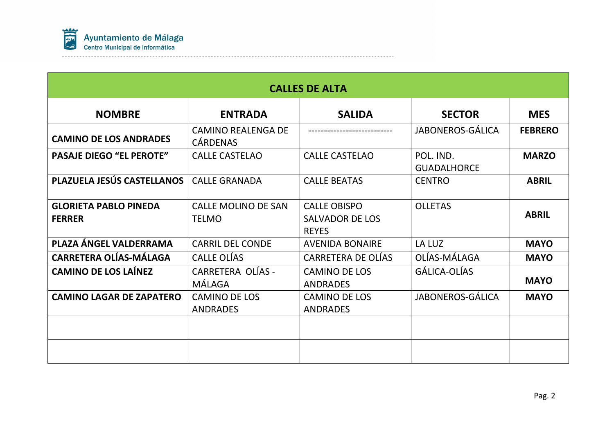

| <b>CALLES DE ALTA</b>                         |                                              |                                                               |                                 |                |  |  |  |  |  |  |
|-----------------------------------------------|----------------------------------------------|---------------------------------------------------------------|---------------------------------|----------------|--|--|--|--|--|--|
| <b>NOMBRE</b>                                 | <b>ENTRADA</b>                               | <b>SALIDA</b>                                                 | <b>SECTOR</b>                   | <b>MES</b>     |  |  |  |  |  |  |
| <b>CAMINO DE LOS ANDRADES</b>                 | <b>CAMINO REALENGA DE</b><br><b>CÁRDENAS</b> |                                                               | <b>JABONEROS-GÁLICA</b>         | <b>FEBRERO</b> |  |  |  |  |  |  |
| <b>PASAJE DIEGO "EL PEROTE"</b>               | <b>CALLE CASTELAO</b>                        | <b>CALLE CASTELAO</b>                                         | POL. IND.<br><b>GUADALHORCE</b> | <b>MARZO</b>   |  |  |  |  |  |  |
| <b>PLAZUELA JESÚS CASTELLANOS</b>             | <b>CALLE GRANADA</b>                         | <b>CALLE BEATAS</b>                                           | <b>CENTRO</b>                   | <b>ABRIL</b>   |  |  |  |  |  |  |
| <b>GLORIETA PABLO PINEDA</b><br><b>FERRER</b> | <b>CALLE MOLINO DE SAN</b><br><b>TELMO</b>   | <b>CALLE OBISPO</b><br><b>SALVADOR DE LOS</b><br><b>REYES</b> | <b>OLLETAS</b>                  | <b>ABRIL</b>   |  |  |  |  |  |  |
| PLAZA ÁNGEL VALDERRAMA                        | <b>CARRIL DEL CONDE</b>                      | <b>AVENIDA BONAIRE</b>                                        | LA LUZ                          | <b>MAYO</b>    |  |  |  |  |  |  |
| <b>CARRETERA OLÍAS-MÁLAGA</b>                 | CALLE OLÍAS                                  | <b>CARRETERA DE OLÍAS</b>                                     | OLÍAS-MÁLAGA                    | <b>MAYO</b>    |  |  |  |  |  |  |
| <b>CAMINO DE LOS LAÍNEZ</b>                   | <b>CARRETERA OLÍAS -</b><br>MÁLAGA           | <b>CAMINO DE LOS</b><br><b>ANDRADES</b>                       | GÁLICA-OLÍAS                    | <b>MAYO</b>    |  |  |  |  |  |  |
| <b>CAMINO LAGAR DE ZAPATERO</b>               | <b>CAMINO DE LOS</b><br><b>ANDRADES</b>      | <b>CAMINO DE LOS</b><br><b>ANDRADES</b>                       | JABONEROS-GÁLICA                | <b>MAYO</b>    |  |  |  |  |  |  |
|                                               |                                              |                                                               |                                 |                |  |  |  |  |  |  |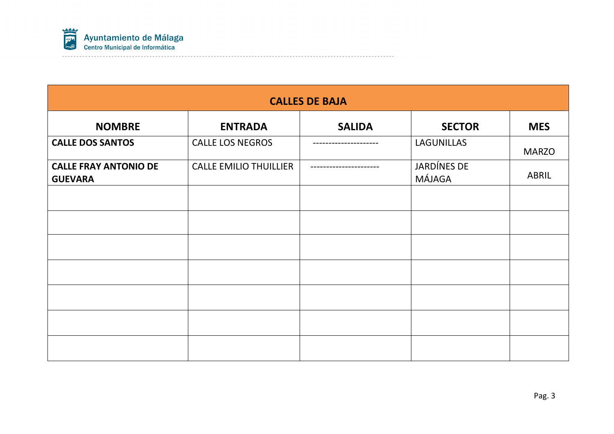

| <b>CALLES DE BAJA</b>                          |                               |                  |                       |              |  |  |  |  |  |  |
|------------------------------------------------|-------------------------------|------------------|-----------------------|--------------|--|--|--|--|--|--|
| <b>NOMBRE</b>                                  | <b>ENTRADA</b>                | <b>SALIDA</b>    | <b>SECTOR</b>         | <b>MES</b>   |  |  |  |  |  |  |
| <b>CALLE DOS SANTOS</b>                        | <b>CALLE LOS NEGROS</b>       |                  | LAGUNILLAS            | <b>MARZO</b> |  |  |  |  |  |  |
| <b>CALLE FRAY ANTONIO DE</b><br><b>GUEVARA</b> | <b>CALLE EMILIO THUILLIER</b> | ---------------- | JARDÍNES DE<br>MÁJAGA | ABRIL        |  |  |  |  |  |  |
|                                                |                               |                  |                       |              |  |  |  |  |  |  |
|                                                |                               |                  |                       |              |  |  |  |  |  |  |
|                                                |                               |                  |                       |              |  |  |  |  |  |  |
|                                                |                               |                  |                       |              |  |  |  |  |  |  |
|                                                |                               |                  |                       |              |  |  |  |  |  |  |
|                                                |                               |                  |                       |              |  |  |  |  |  |  |
|                                                |                               |                  |                       |              |  |  |  |  |  |  |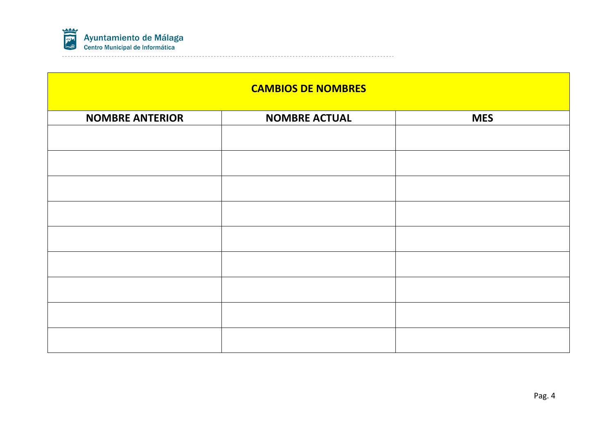

| <b>CAMBIOS DE NOMBRES</b> |                      |            |  |  |  |  |  |  |  |  |
|---------------------------|----------------------|------------|--|--|--|--|--|--|--|--|
| <b>NOMBRE ANTERIOR</b>    | <b>NOMBRE ACTUAL</b> | <b>MES</b> |  |  |  |  |  |  |  |  |
|                           |                      |            |  |  |  |  |  |  |  |  |
|                           |                      |            |  |  |  |  |  |  |  |  |
|                           |                      |            |  |  |  |  |  |  |  |  |
|                           |                      |            |  |  |  |  |  |  |  |  |
|                           |                      |            |  |  |  |  |  |  |  |  |
|                           |                      |            |  |  |  |  |  |  |  |  |
|                           |                      |            |  |  |  |  |  |  |  |  |
|                           |                      |            |  |  |  |  |  |  |  |  |
|                           |                      |            |  |  |  |  |  |  |  |  |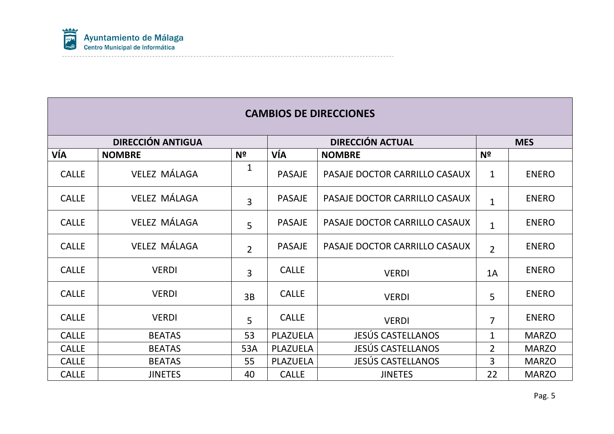

|              | <b>CAMBIOS DE DIRECCIONES</b> |                |               |                               |                |              |  |  |  |  |  |  |
|--------------|-------------------------------|----------------|---------------|-------------------------------|----------------|--------------|--|--|--|--|--|--|
|              | <b>DIRECCIÓN ANTIGUA</b>      |                |               | <b>DIRECCIÓN ACTUAL</b>       |                | <b>MES</b>   |  |  |  |  |  |  |
| VÍA          | <b>NOMBRE</b>                 | N <sup>o</sup> | VÍA           | <b>NOMBRE</b>                 | N <sup>o</sup> |              |  |  |  |  |  |  |
| <b>CALLE</b> | <b>VELEZ MÁLAGA</b>           | 1              | <b>PASAJE</b> | PASAJE DOCTOR CARRILLO CASAUX | $\mathbf{1}$   | <b>ENERO</b> |  |  |  |  |  |  |
| <b>CALLE</b> | <b>VELEZ MÁLAGA</b>           | $\overline{3}$ | <b>PASAJE</b> | PASAJE DOCTOR CARRILLO CASAUX | $\mathbf{1}$   | <b>ENERO</b> |  |  |  |  |  |  |
| <b>CALLE</b> | <b>VELEZ MÁLAGA</b>           | 5              | <b>PASAJE</b> | PASAJE DOCTOR CARRILLO CASAUX | $\mathbf{1}$   | <b>ENERO</b> |  |  |  |  |  |  |
| <b>CALLE</b> | <b>VELEZ MÁLAGA</b>           | $\overline{2}$ | <b>PASAJE</b> | PASAJE DOCTOR CARRILLO CASAUX | $\overline{2}$ | <b>ENERO</b> |  |  |  |  |  |  |
| <b>CALLE</b> | <b>VERDI</b>                  | $\overline{3}$ | <b>CALLE</b>  | <b>VERDI</b>                  | 1A             | <b>ENERO</b> |  |  |  |  |  |  |
| <b>CALLE</b> | <b>VERDI</b>                  | 3B             | <b>CALLE</b>  | <b>VERDI</b>                  | 5              | <b>ENERO</b> |  |  |  |  |  |  |
| <b>CALLE</b> | <b>VERDI</b>                  | $\overline{5}$ | <b>CALLE</b>  | <b>VERDI</b>                  | $\overline{7}$ | <b>ENERO</b> |  |  |  |  |  |  |
| <b>CALLE</b> | <b>BEATAS</b>                 | 53             | PLAZUELA      | <b>JESÚS CASTELLANOS</b>      | $\mathbf{1}$   | <b>MARZO</b> |  |  |  |  |  |  |
| <b>CALLE</b> | <b>BEATAS</b>                 | 53A            | PLAZUELA      | <b>JESÚS CASTELLANOS</b>      | $\overline{2}$ | <b>MARZO</b> |  |  |  |  |  |  |
| <b>CALLE</b> | <b>BEATAS</b>                 | 55             | PLAZUELA      | <b>JESÚS CASTELLANOS</b>      | 3              | <b>MARZO</b> |  |  |  |  |  |  |
| <b>CALLE</b> | <b>JINETES</b>                | 40             | <b>CALLE</b>  | <b>JINETES</b>                | 22             | <b>MARZO</b> |  |  |  |  |  |  |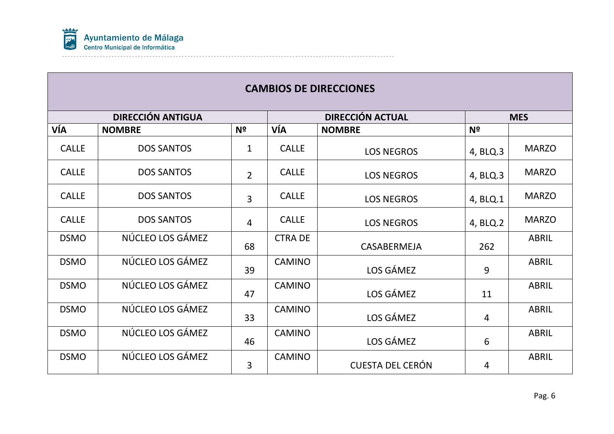

|              | <b>DIRECCIÓN ANTIGUA</b> |                |               | <b>DIRECCIÓN ACTUAL</b> |                | <b>MES</b>   |
|--------------|--------------------------|----------------|---------------|-------------------------|----------------|--------------|
| VÍA          | <b>NOMBRE</b>            | N <sup>2</sup> | VÍA           | <b>NOMBRE</b>           | N <sup>2</sup> |              |
| <b>CALLE</b> | <b>DOS SANTOS</b>        | $\mathbf 1$    | <b>CALLE</b>  | <b>LOS NEGROS</b>       | 4, BLQ.3       | <b>MARZO</b> |
| <b>CALLE</b> | <b>DOS SANTOS</b>        | $\overline{2}$ | <b>CALLE</b>  | <b>LOS NEGROS</b>       | 4, BLQ.3       | <b>MARZO</b> |
| <b>CALLE</b> | <b>DOS SANTOS</b>        | $\overline{3}$ | <b>CALLE</b>  | <b>LOS NEGROS</b>       | 4, BLQ.1       | <b>MARZO</b> |
| <b>CALLE</b> | <b>DOS SANTOS</b>        | $\overline{4}$ | <b>CALLE</b>  | <b>LOS NEGROS</b>       | 4, BLQ.2       | <b>MARZO</b> |
| <b>DSMO</b>  | NÚCLEO LOS GÁMEZ         | 68             | <b>CTRADE</b> | CASABERMEJA             | 262            | <b>ABRIL</b> |
| <b>DSMO</b>  | NÚCLEO LOS GÁMEZ         | 39             | <b>CAMINO</b> | LOS GÁMEZ               | 9              | <b>ABRIL</b> |
| <b>DSMO</b>  | NÚCLEO LOS GÁMEZ         | 47             | <b>CAMINO</b> | LOS GÁMEZ               | 11             | <b>ABRIL</b> |
| <b>DSMO</b>  | NÚCLEO LOS GÁMEZ         | 33             | <b>CAMINO</b> | LOS GÁMEZ               | 4              | <b>ABRIL</b> |
| <b>DSMO</b>  | NÚCLEO LOS GÁMEZ         | 46             | <b>CAMINO</b> | LOS GÁMEZ               | 6              | <b>ABRIL</b> |
| <b>DSMO</b>  | NÚCLEO LOS GÁMEZ         | 3              | <b>CAMINO</b> | <b>CUESTA DEL CERÓN</b> | 4              | <b>ABRIL</b> |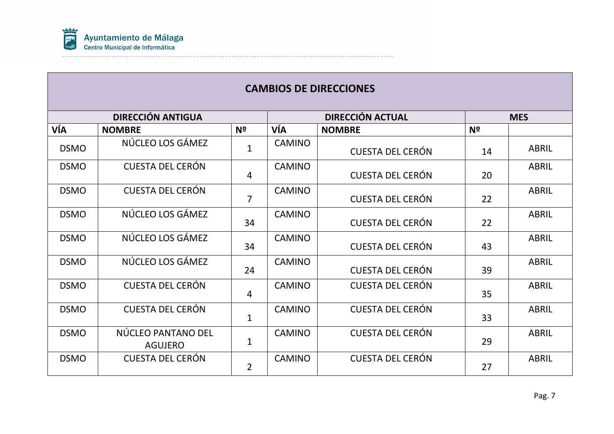

|             | <b>DIRECCIÓN ANTIGUA</b>             |                |               | <b>DIRECCIÓN ACTUAL</b> |                | <b>MES</b>   |
|-------------|--------------------------------------|----------------|---------------|-------------------------|----------------|--------------|
| VÍA         | <b>NOMBRE</b>                        | N <sup>o</sup> | VÍA           | <b>NOMBRE</b>           | N <sup>2</sup> |              |
| <b>DSMO</b> | NÚCLEO LOS GÁMEZ                     | $\mathbf{1}$   | <b>CAMINO</b> | <b>CUESTA DEL CERÓN</b> | 14             | <b>ABRIL</b> |
| <b>DSMO</b> | <b>CUESTA DEL CERÓN</b>              | 4              | <b>CAMINO</b> | <b>CUESTA DEL CERÓN</b> | 20             | <b>ABRIL</b> |
| <b>DSMO</b> | <b>CUESTA DEL CERÓN</b>              | $\overline{7}$ | <b>CAMINO</b> | <b>CUESTA DEL CERÓN</b> | 22             | <b>ABRIL</b> |
| <b>DSMO</b> | NÚCLEO LOS GÁMEZ                     | 34             | <b>CAMINO</b> | <b>CUESTA DEL CERÓN</b> | 22             | <b>ABRIL</b> |
| <b>DSMO</b> | NÚCLEO LOS GÁMEZ                     | 34             | <b>CAMINO</b> | <b>CUESTA DEL CERÓN</b> | 43             | <b>ABRIL</b> |
| <b>DSMO</b> | NÚCLEO LOS GÁMEZ                     | 24             | <b>CAMINO</b> | <b>CUESTA DEL CERÓN</b> | 39             | <b>ABRIL</b> |
| <b>DSMO</b> | <b>CUESTA DEL CERÓN</b>              | $\overline{4}$ | <b>CAMINO</b> | <b>CUESTA DEL CERÓN</b> | 35             | <b>ABRIL</b> |
| <b>DSMO</b> | <b>CUESTA DEL CERÓN</b>              | $\mathbf{1}$   | <b>CAMINO</b> | <b>CUESTA DEL CERÓN</b> | 33             | <b>ABRIL</b> |
| <b>DSMO</b> | NÚCLEO PANTANO DEL<br><b>AGUJERO</b> | $\mathbf{1}$   | <b>CAMINO</b> | <b>CUESTA DEL CERÓN</b> | 29             | <b>ABRIL</b> |
| <b>DSMO</b> | <b>CUESTA DEL CERÓN</b>              | $\overline{2}$ | <b>CAMINO</b> | <b>CUESTA DEL CERÓN</b> | 27             | <b>ABRIL</b> |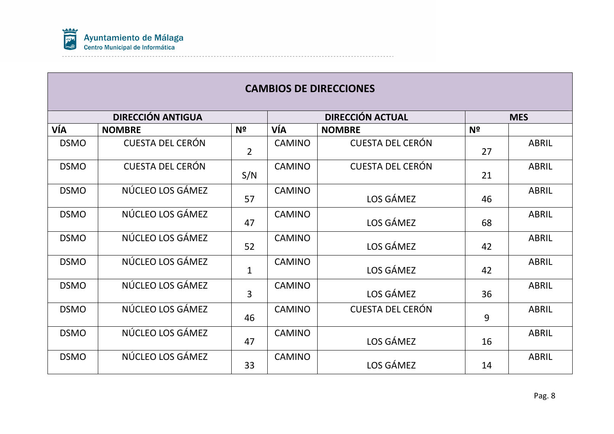

|             | <b>DIRECCIÓN ANTIGUA</b> |                |               | <b>DIRECCIÓN ACTUAL</b> |                | <b>MES</b>   |
|-------------|--------------------------|----------------|---------------|-------------------------|----------------|--------------|
| VÍA         | <b>NOMBRE</b>            | Nº             | VÍA           | <b>NOMBRE</b>           | N <sup>2</sup> |              |
| <b>DSMO</b> | <b>CUESTA DEL CERÓN</b>  | $\overline{2}$ | <b>CAMINO</b> | <b>CUESTA DEL CERÓN</b> | 27             | <b>ABRIL</b> |
| <b>DSMO</b> | <b>CUESTA DEL CERÓN</b>  | S/N            | <b>CAMINO</b> | <b>CUESTA DEL CERÓN</b> | 21             | <b>ABRIL</b> |
| <b>DSMO</b> | NÚCLEO LOS GÁMEZ         | 57             | <b>CAMINO</b> | LOS GÁMEZ               | 46             | <b>ABRIL</b> |
| <b>DSMO</b> | NÚCLEO LOS GÁMEZ         | 47             | <b>CAMINO</b> | LOS GÁMEZ               | 68             | <b>ABRIL</b> |
| <b>DSMO</b> | NÚCLEO LOS GÁMEZ         | 52             | <b>CAMINO</b> | LOS GÁMEZ               | 42             | <b>ABRIL</b> |
| <b>DSMO</b> | NÚCLEO LOS GÁMEZ         | $\mathbf{1}$   | <b>CAMINO</b> | LOS GÁMEZ               | 42             | <b>ABRIL</b> |
| <b>DSMO</b> | NÚCLEO LOS GÁMEZ         | 3              | <b>CAMINO</b> | LOS GÁMEZ               | 36             | <b>ABRIL</b> |
| <b>DSMO</b> | NÚCLEO LOS GÁMEZ         | 46             | <b>CAMINO</b> | <b>CUESTA DEL CERÓN</b> | 9              | <b>ABRIL</b> |
| <b>DSMO</b> | NÚCLEO LOS GÁMEZ         | 47             | <b>CAMINO</b> | LOS GÁMEZ               | 16             | <b>ABRIL</b> |
| <b>DSMO</b> | NÚCLEO LOS GÁMEZ         | 33             | <b>CAMINO</b> | LOS GÁMEZ               | 14             | <b>ABRIL</b> |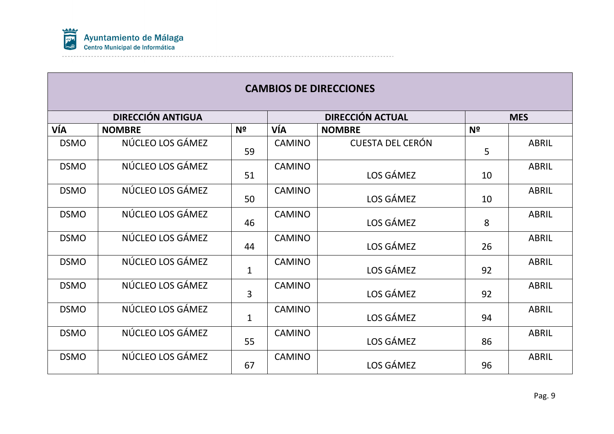

|             | <b>DIRECCIÓN ANTIGUA</b> |                |               | <b>DIRECCIÓN ACTUAL</b> |    | <b>MES</b>   |
|-------------|--------------------------|----------------|---------------|-------------------------|----|--------------|
| VÍA         | <b>NOMBRE</b>            | Nº             | VÍA           | <b>NOMBRE</b>           | Nº |              |
| <b>DSMO</b> | NÚCLEO LOS GÁMEZ         | 59             | <b>CAMINO</b> | <b>CUESTA DEL CERÓN</b> | 5  | <b>ABRIL</b> |
| <b>DSMO</b> | NÚCLEO LOS GÁMEZ         | 51             | <b>CAMINO</b> | LOS GÁMEZ               | 10 | <b>ABRIL</b> |
| <b>DSMO</b> | NÚCLEO LOS GÁMEZ         | 50             | <b>CAMINO</b> | LOS GÁMEZ               | 10 | <b>ABRIL</b> |
| <b>DSMO</b> | NÚCLEO LOS GÁMEZ         | 46             | <b>CAMINO</b> | LOS GÁMEZ               | 8  | <b>ABRIL</b> |
| <b>DSMO</b> | NÚCLEO LOS GÁMEZ         | 44             | <b>CAMINO</b> | LOS GÁMEZ               | 26 | <b>ABRIL</b> |
| <b>DSMO</b> | NÚCLEO LOS GÁMEZ         | $\mathbf{1}$   | <b>CAMINO</b> | LOS GÁMEZ               | 92 | <b>ABRIL</b> |
| <b>DSMO</b> | NÚCLEO LOS GÁMEZ         | $\overline{3}$ | <b>CAMINO</b> | LOS GÁMEZ               | 92 | <b>ABRIL</b> |
| <b>DSMO</b> | NÚCLEO LOS GÁMEZ         | $\mathbf{1}$   | <b>CAMINO</b> | LOS GÁMEZ               | 94 | <b>ABRIL</b> |
| <b>DSMO</b> | NÚCLEO LOS GÁMEZ         | 55             | <b>CAMINO</b> | LOS GÁMEZ               | 86 | <b>ABRIL</b> |
| <b>DSMO</b> | NÚCLEO LOS GÁMEZ         | 67             | <b>CAMINO</b> | LOS GÁMEZ               | 96 | <b>ABRIL</b> |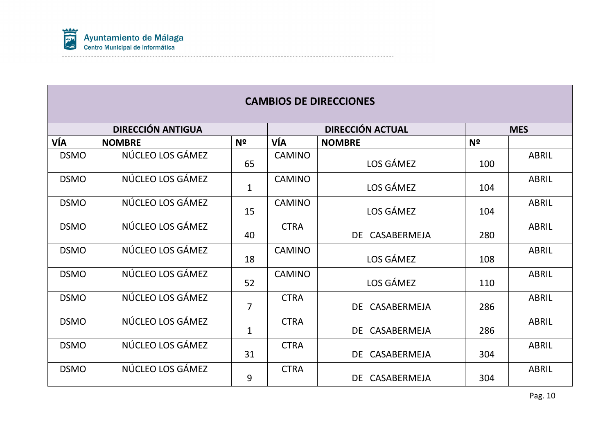

|             | <b>DIRECCIÓN ANTIGUA</b> |                |               | <b>DIRECCIÓN ACTUAL</b> |                | <b>MES</b>   |
|-------------|--------------------------|----------------|---------------|-------------------------|----------------|--------------|
| VÍA         | <b>NOMBRE</b>            | N <sup>o</sup> | VÍA           | <b>NOMBRE</b>           | N <sup>2</sup> |              |
| <b>DSMO</b> | NÚCLEO LOS GÁMEZ         | 65             | <b>CAMINO</b> | LOS GÁMEZ               | 100            | <b>ABRIL</b> |
| <b>DSMO</b> | NÚCLEO LOS GÁMEZ         | $\mathbf{1}$   | <b>CAMINO</b> | LOS GÁMEZ               | 104            | <b>ABRIL</b> |
| <b>DSMO</b> | NÚCLEO LOS GÁMEZ         | 15             | <b>CAMINO</b> | LOS GÁMEZ               | 104            | <b>ABRIL</b> |
| <b>DSMO</b> | NÚCLEO LOS GÁMEZ         | 40             | <b>CTRA</b>   | DE CASABERMEJA          | 280            | <b>ABRIL</b> |
| <b>DSMO</b> | NÚCLEO LOS GÁMEZ         | 18             | <b>CAMINO</b> | LOS GÁMEZ               | 108            | <b>ABRIL</b> |
| <b>DSMO</b> | NÚCLEO LOS GÁMEZ         | 52             | <b>CAMINO</b> | LOS GÁMEZ               | 110            | <b>ABRIL</b> |
| <b>DSMO</b> | NÚCLEO LOS GÁMEZ         | $\overline{7}$ | <b>CTRA</b>   | DE CASABERMEJA          | 286            | <b>ABRIL</b> |
| <b>DSMO</b> | NÚCLEO LOS GÁMEZ         | $\mathbf{1}$   | <b>CTRA</b>   | DE CASABERMEJA          | 286            | <b>ABRIL</b> |
| <b>DSMO</b> | NÚCLEO LOS GÁMEZ         | 31             | <b>CTRA</b>   | DE CASABERMEJA          | 304            | <b>ABRIL</b> |
| <b>DSMO</b> | NÚCLEO LOS GÁMEZ         | 9              | <b>CTRA</b>   | DE CASABERMEJA          | 304            | <b>ABRIL</b> |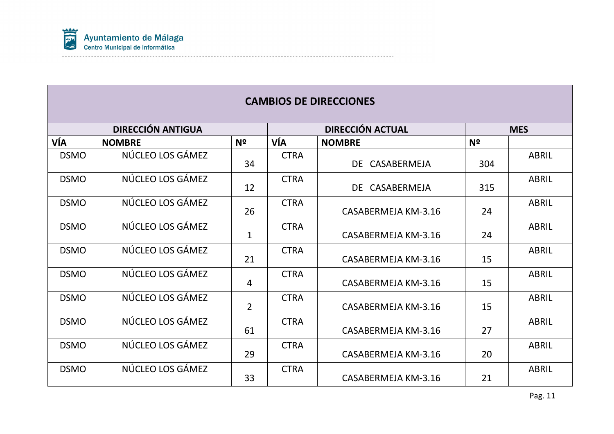

|             | <b>DIRECCIÓN ANTIGUA</b> |                |             | <b>DIRECCIÓN ACTUAL</b> |                | <b>MES</b>   |
|-------------|--------------------------|----------------|-------------|-------------------------|----------------|--------------|
| VÍA         | <b>NOMBRE</b>            | N <sup>o</sup> | VÍA         | <b>NOMBRE</b>           | N <sup>o</sup> |              |
| <b>DSMO</b> | NÚCLEO LOS GÁMEZ         | 34             | <b>CTRA</b> | DE CASABERMEJA          | 304            | <b>ABRIL</b> |
| <b>DSMO</b> | NÚCLEO LOS GÁMEZ         | 12             | <b>CTRA</b> | DE CASABERMEJA          | 315            | <b>ABRIL</b> |
| <b>DSMO</b> | NÚCLEO LOS GÁMEZ         | 26             | <b>CTRA</b> | CASABERMEJA KM-3.16     | 24             | <b>ABRIL</b> |
| <b>DSMO</b> | NÚCLEO LOS GÁMEZ         | $\mathbf{1}$   | <b>CTRA</b> | CASABERMEJA KM-3.16     | 24             | <b>ABRIL</b> |
| <b>DSMO</b> | NÚCLEO LOS GÁMEZ         | 21             | <b>CTRA</b> | CASABERMEJA KM-3.16     | 15             | <b>ABRIL</b> |
| <b>DSMO</b> | NÚCLEO LOS GÁMEZ         | $\overline{4}$ | <b>CTRA</b> | CASABERMEJA KM-3.16     | 15             | <b>ABRIL</b> |
| <b>DSMO</b> | NÚCLEO LOS GÁMEZ         | $\overline{2}$ | <b>CTRA</b> | CASABERMEJA KM-3.16     | 15             | <b>ABRIL</b> |
| <b>DSMO</b> | NÚCLEO LOS GÁMEZ         | 61             | <b>CTRA</b> | CASABERMEJA KM-3.16     | 27             | <b>ABRIL</b> |
| <b>DSMO</b> | NÚCLEO LOS GÁMEZ         | 29             | <b>CTRA</b> | CASABERMEJA KM-3.16     | 20             | <b>ABRIL</b> |
| <b>DSMO</b> | NÚCLEO LOS GÁMEZ         | 33             | <b>CTRA</b> | CASABERMEJA KM-3.16     | 21             | <b>ABRIL</b> |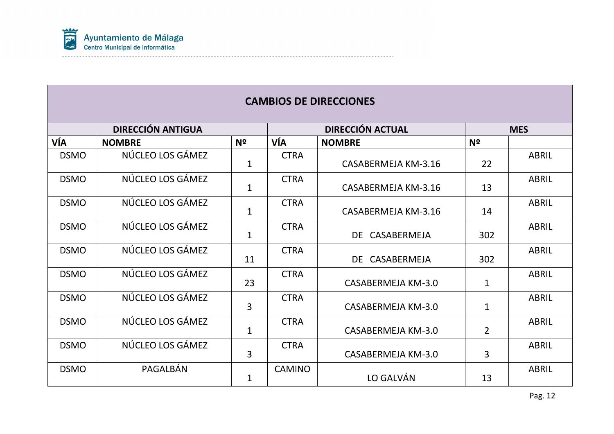

|             | <b>DIRECCIÓN ANTIGUA</b> |                |               | <b>DIRECCIÓN ACTUAL</b> |                | <b>MES</b>   |
|-------------|--------------------------|----------------|---------------|-------------------------|----------------|--------------|
| VÍA         | <b>NOMBRE</b>            | N <sup>2</sup> | VÍA           | <b>NOMBRE</b>           | N <sup>2</sup> |              |
| <b>DSMO</b> | NÚCLEO LOS GÁMEZ         | $\mathbf{1}$   | <b>CTRA</b>   | CASABERMEJA KM-3.16     | 22             | <b>ABRIL</b> |
| <b>DSMO</b> | NÚCLEO LOS GÁMEZ         | $\mathbf{1}$   | <b>CTRA</b>   | CASABERMEJA KM-3.16     | 13             | <b>ABRIL</b> |
| <b>DSMO</b> | NÚCLEO LOS GÁMEZ         | $\mathbf{1}$   | <b>CTRA</b>   | CASABERMEJA KM-3.16     | 14             | <b>ABRIL</b> |
| <b>DSMO</b> | NÚCLEO LOS GÁMEZ         | $\mathbf{1}$   | <b>CTRA</b>   | DE CASABERMEJA          | 302            | <b>ABRIL</b> |
| <b>DSMO</b> | NÚCLEO LOS GÁMEZ         | 11             | <b>CTRA</b>   | DE CASABERMEJA          | 302            | <b>ABRIL</b> |
| <b>DSMO</b> | NÚCLEO LOS GÁMEZ         | 23             | <b>CTRA</b>   | CASABERMEJA KM-3.0      | $\mathbf 1$    | ABRIL        |
| <b>DSMO</b> | NÚCLEO LOS GÁMEZ         | 3              | <b>CTRA</b>   | CASABERMEJA KM-3.0      | $\mathbf{1}$   | <b>ABRIL</b> |
| <b>DSMO</b> | NÚCLEO LOS GÁMEZ         | $\mathbf{1}$   | <b>CTRA</b>   | CASABERMEJA KM-3.0      | $\overline{2}$ | <b>ABRIL</b> |
| <b>DSMO</b> | NÚCLEO LOS GÁMEZ         | 3              | <b>CTRA</b>   | CASABERMEJA KM-3.0      | 3              | <b>ABRIL</b> |
| <b>DSMO</b> | PAGALBÁN                 | 1              | <b>CAMINO</b> | LO GALVÁN               | 13             | <b>ABRIL</b> |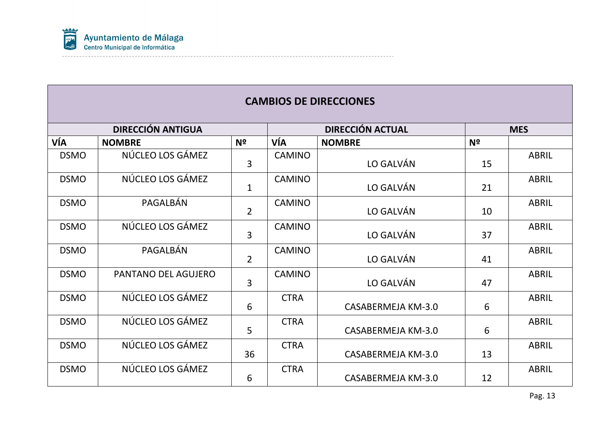

|             | <b>DIRECCIÓN ANTIGUA</b> |                |               | <b>DIRECCIÓN ACTUAL</b> | <b>MES</b>     |              |
|-------------|--------------------------|----------------|---------------|-------------------------|----------------|--------------|
| VÍA         | <b>NOMBRE</b>            | N <sup>o</sup> | VÍA           | <b>NOMBRE</b>           | N <sup>2</sup> |              |
| <b>DSMO</b> | NÚCLEO LOS GÁMEZ         | 3              | <b>CAMINO</b> | LO GALVÁN               | 15             | <b>ABRIL</b> |
| <b>DSMO</b> | NÚCLEO LOS GÁMEZ         | $\mathbf{1}$   | <b>CAMINO</b> | LO GALVÁN               |                | <b>ABRIL</b> |
| <b>DSMO</b> | PAGALBÁN                 | $\overline{2}$ | <b>CAMINO</b> | LO GALVÁN               | 10             | <b>ABRIL</b> |
| <b>DSMO</b> | NÚCLEO LOS GÁMEZ         | 3              | <b>CAMINO</b> | LO GALVÁN               | 37             | <b>ABRIL</b> |
| <b>DSMO</b> | PAGALBÁN                 | $\overline{2}$ | <b>CAMINO</b> | LO GALVÁN               | 41             | <b>ABRIL</b> |
| <b>DSMO</b> | PANTANO DEL AGUJERO      | $\overline{3}$ | <b>CAMINO</b> | LO GALVÁN               | 47             | <b>ABRIL</b> |
| <b>DSMO</b> | NÚCLEO LOS GÁMEZ         | 6              | <b>CTRA</b>   | CASABERMEJA KM-3.0      | 6              | <b>ABRIL</b> |
| <b>DSMO</b> | NÚCLEO LOS GÁMEZ         | 5              | <b>CTRA</b>   | CASABERMEJA KM-3.0      | 6              | <b>ABRIL</b> |
| <b>DSMO</b> | NÚCLEO LOS GÁMEZ         | 36             | <b>CTRA</b>   | CASABERMEJA KM-3.0      | 13             | <b>ABRIL</b> |
| <b>DSMO</b> | NÚCLEO LOS GÁMEZ         | 6              | <b>CTRA</b>   | CASABERMEJA KM-3.0      | 12             | <b>ABRIL</b> |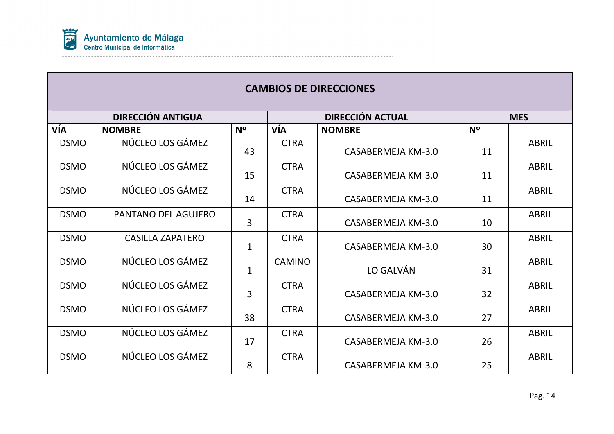

| <b>DIRECCIÓN ANTIGUA</b> |                         |                |               | <b>DIRECCIÓN ACTUAL</b> | <b>MES</b> |              |
|--------------------------|-------------------------|----------------|---------------|-------------------------|------------|--------------|
| VÍA                      | <b>NOMBRE</b>           | Nº             | VÍA           | <b>NOMBRE</b>           | Nº         |              |
| <b>DSMO</b>              | NÚCLEO LOS GÁMEZ        | 43             | <b>CTRA</b>   | CASABERMEJA KM-3.0      | 11         | <b>ABRIL</b> |
| <b>DSMO</b>              | NÚCLEO LOS GÁMEZ        | 15             | <b>CTRA</b>   | CASABERMEJA KM-3.0      | 11         | <b>ABRIL</b> |
| <b>DSMO</b>              | NÚCLEO LOS GÁMEZ        | 14             | <b>CTRA</b>   | CASABERMEJA KM-3.0      |            | <b>ABRIL</b> |
| <b>DSMO</b>              | PANTANO DEL AGUJERO     | 3              | <b>CTRA</b>   | CASABERMEJA KM-3.0      | 10         | <b>ABRIL</b> |
| <b>DSMO</b>              | <b>CASILLA ZAPATERO</b> | $\mathbf{1}$   | <b>CTRA</b>   | CASABERMEJA KM-3.0      | 30         | <b>ABRIL</b> |
| <b>DSMO</b>              | NÚCLEO LOS GÁMEZ        | $\mathbf{1}$   | <b>CAMINO</b> | LO GALVÁN               | 31         | <b>ABRIL</b> |
| <b>DSMO</b>              | NÚCLEO LOS GÁMEZ        | $\overline{3}$ | <b>CTRA</b>   | CASABERMEJA KM-3.0      | 32         | <b>ABRIL</b> |
| <b>DSMO</b>              | NÚCLEO LOS GÁMEZ        | 38             | <b>CTRA</b>   | CASABERMEJA KM-3.0      | 27         | <b>ABRIL</b> |
| <b>DSMO</b>              | NÚCLEO LOS GÁMEZ        | 17             | <b>CTRA</b>   | CASABERMEJA KM-3.0      | 26         | <b>ABRIL</b> |
| <b>DSMO</b>              | NÚCLEO LOS GÁMEZ        | 8              | <b>CTRA</b>   | CASABERMEJA KM-3.0      | 25         | <b>ABRIL</b> |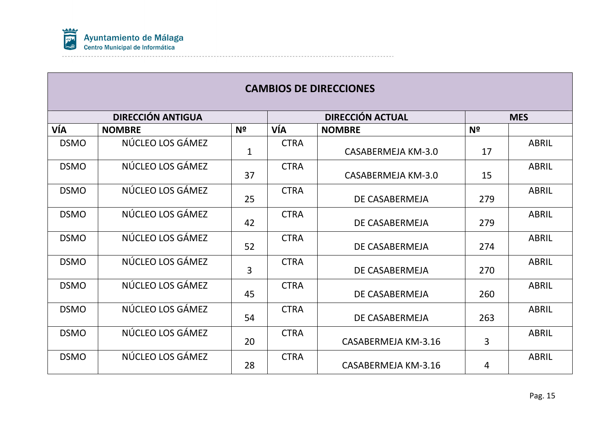

| <b>DIRECCIÓN ANTIGUA</b> |                  |                |             | <b>DIRECCIÓN ACTUAL</b> | <b>MES</b>     |              |
|--------------------------|------------------|----------------|-------------|-------------------------|----------------|--------------|
| VÍA                      | <b>NOMBRE</b>    | N <sup>2</sup> | VÍA         | <b>NOMBRE</b>           | N <sup>o</sup> |              |
| <b>DSMO</b>              | NÚCLEO LOS GÁMEZ | $\mathbf{1}$   | <b>CTRA</b> | CASABERMEJA KM-3.0      | 17             | <b>ABRIL</b> |
| <b>DSMO</b>              | NÚCLEO LOS GÁMEZ | 37             | <b>CTRA</b> | CASABERMEJA KM-3.0      | 15             | <b>ABRIL</b> |
| <b>DSMO</b>              | NÚCLEO LOS GÁMEZ | 25             | <b>CTRA</b> | DE CASABERMEJA          |                | <b>ABRIL</b> |
| <b>DSMO</b>              | NÚCLEO LOS GÁMEZ | 42             | <b>CTRA</b> | DE CASABERMEJA          | 279            | <b>ABRIL</b> |
| <b>DSMO</b>              | NÚCLEO LOS GÁMEZ | 52             | <b>CTRA</b> | DE CASABERMEJA          | 274            | <b>ABRIL</b> |
| <b>DSMO</b>              | NÚCLEO LOS GÁMEZ | 3              | <b>CTRA</b> | DE CASABERMEJA          | 270            | <b>ABRIL</b> |
| <b>DSMO</b>              | NÚCLEO LOS GÁMEZ | 45             | <b>CTRA</b> | DE CASABERMEJA          | 260            | <b>ABRIL</b> |
| <b>DSMO</b>              | NÚCLEO LOS GÁMEZ | 54             | <b>CTRA</b> | DE CASABERMEJA          | 263            | <b>ABRIL</b> |
| <b>DSMO</b>              | NÚCLEO LOS GÁMEZ | 20             | <b>CTRA</b> | CASABERMEJA KM-3.16     | 3              | <b>ABRIL</b> |
| <b>DSMO</b>              | NÚCLEO LOS GÁMEZ | 28             | <b>CTRA</b> | CASABERMEJA KM-3.16     |                | <b>ABRIL</b> |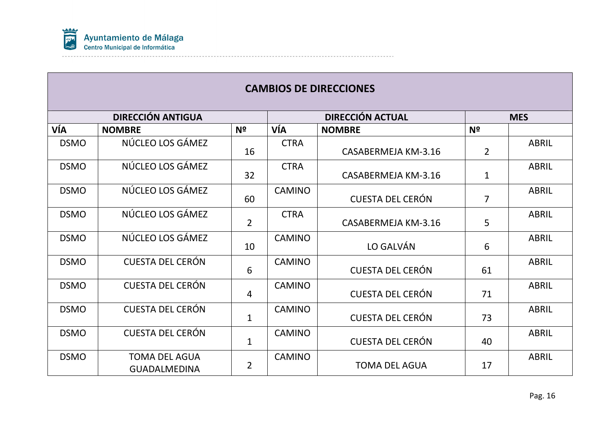

|             | <b>DIRECCIÓN ANTIGUA</b>                    |                |               | <b>DIRECCIÓN ACTUAL</b> | <b>MES</b>     |              |
|-------------|---------------------------------------------|----------------|---------------|-------------------------|----------------|--------------|
| VÍA         | <b>NOMBRE</b>                               | Nº             | VÍA           | <b>NOMBRE</b>           | N <sup>2</sup> |              |
| <b>DSMO</b> | NÚCLEO LOS GÁMEZ                            | 16             | <b>CTRA</b>   | CASABERMEJA KM-3.16     |                | <b>ABRIL</b> |
| <b>DSMO</b> | NÚCLEO LOS GÁMEZ                            | 32             | <b>CTRA</b>   | CASABERMEJA KM-3.16     |                | <b>ABRIL</b> |
| <b>DSMO</b> | NÚCLEO LOS GÁMEZ                            | 60             | <b>CAMINO</b> | <b>CUESTA DEL CERÓN</b> |                | <b>ABRIL</b> |
| <b>DSMO</b> | NÚCLEO LOS GÁMEZ                            | $\overline{2}$ | <b>CTRA</b>   | CASABERMEJA KM-3.16     | 5              | <b>ABRIL</b> |
| <b>DSMO</b> | NÚCLEO LOS GÁMEZ                            | 10             | <b>CAMINO</b> | LO GALVÁN               | 6              | <b>ABRIL</b> |
| <b>DSMO</b> | <b>CUESTA DEL CERÓN</b>                     | 6              | <b>CAMINO</b> | <b>CUESTA DEL CERÓN</b> | 61             | <b>ABRIL</b> |
| <b>DSMO</b> | <b>CUESTA DEL CERÓN</b>                     | $\overline{4}$ | <b>CAMINO</b> | <b>CUESTA DEL CERÓN</b> | 71             | <b>ABRIL</b> |
| <b>DSMO</b> | <b>CUESTA DEL CERÓN</b>                     | $\mathbf{1}$   | <b>CAMINO</b> | <b>CUESTA DEL CERÓN</b> | 73             | <b>ABRIL</b> |
| <b>DSMO</b> | <b>CUESTA DEL CERÓN</b>                     | $\mathbf{1}$   | <b>CAMINO</b> | <b>CUESTA DEL CERÓN</b> |                | <b>ABRIL</b> |
| <b>DSMO</b> | <b>TOMA DEL AGUA</b><br><b>GUADALMEDINA</b> | $\overline{2}$ | <b>CAMINO</b> | <b>TOMA DEL AGUA</b>    |                | <b>ABRIL</b> |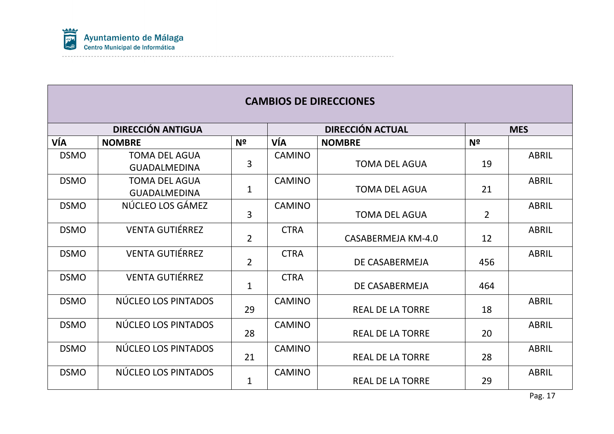

|             | <b>DIRECCIÓN ANTIGUA</b> |                |               | <b>DIRECCIÓN ACTUAL</b> | <b>MES</b>     |              |
|-------------|--------------------------|----------------|---------------|-------------------------|----------------|--------------|
| VÍA         | <b>NOMBRE</b>            | N <sup>o</sup> | VÍA           | <b>NOMBRE</b>           | N <sup>2</sup> |              |
| <b>DSMO</b> | <b>TOMA DEL AGUA</b>     |                | <b>CAMINO</b> |                         |                | <b>ABRIL</b> |
|             | <b>GUADALMEDINA</b>      | 3              |               | <b>TOMA DEL AGUA</b>    | 19             |              |
| <b>DSMO</b> | <b>TOMA DEL AGUA</b>     |                | <b>CAMINO</b> |                         |                | <b>ABRIL</b> |
|             | <b>GUADALMEDINA</b>      | $\mathbf{1}$   |               | <b>TOMA DEL AGUA</b>    | 21             |              |
| <b>DSMO</b> | NÚCLEO LOS GÁMEZ         |                | <b>CAMINO</b> |                         |                | <b>ABRIL</b> |
|             |                          | 3              |               | <b>TOMA DEL AGUA</b>    | $\overline{2}$ |              |
| <b>DSMO</b> | <b>VENTA GUTIÉRREZ</b>   |                | <b>CTRA</b>   |                         |                | <b>ABRIL</b> |
|             |                          | $\overline{2}$ |               | CASABERMEJA KM-4.0      | 12             |              |
| <b>DSMO</b> | <b>VENTA GUTIÉRREZ</b>   | $\overline{2}$ | <b>CTRA</b>   |                         |                | <b>ABRIL</b> |
|             |                          |                |               | DE CASABERMEJA          | 456            |              |
| <b>DSMO</b> | <b>VENTA GUTIÉRREZ</b>   | $\mathbf{1}$   | <b>CTRA</b>   | DE CASABERMEJA          | 464            |              |
|             |                          |                |               |                         |                |              |
| <b>DSMO</b> | NÚCLEO LOS PINTADOS      |                | <b>CAMINO</b> |                         |                | <b>ABRIL</b> |
|             |                          | 29             |               | <b>REAL DE LA TORRE</b> | 18             |              |
| <b>DSMO</b> | NÚCLEO LOS PINTADOS      |                | <b>CAMINO</b> |                         |                | <b>ABRIL</b> |
|             |                          | 28             |               | <b>REAL DE LA TORRE</b> | 20             |              |
| <b>DSMO</b> | NÚCLEO LOS PINTADOS      |                | <b>CAMINO</b> |                         |                | <b>ABRIL</b> |
|             |                          | 21             |               | <b>REAL DE LA TORRE</b> | 28             |              |
| <b>DSMO</b> | NÚCLEO LOS PINTADOS      |                | <b>CAMINO</b> |                         |                | <b>ABRIL</b> |
|             |                          | $\mathbf 1$    |               | <b>REAL DE LA TORRE</b> | 29             |              |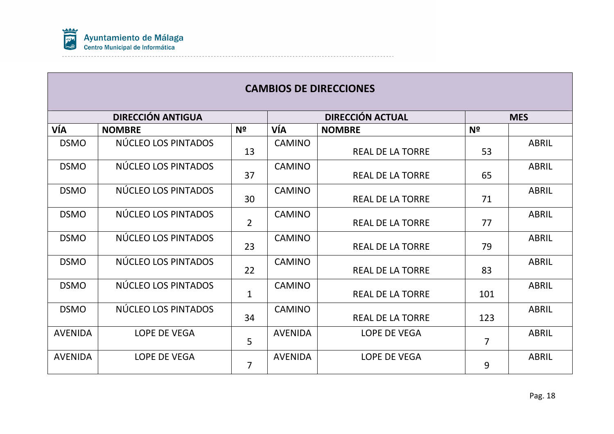

| <b>DIRECCIÓN ANTIGUA</b> |                     |                |                | <b>DIRECCIÓN ACTUAL</b> | <b>MES</b>     |              |
|--------------------------|---------------------|----------------|----------------|-------------------------|----------------|--------------|
| VÍA                      | <b>NOMBRE</b>       | N <sup>o</sup> | VÍA            | <b>NOMBRE</b>           | N <sup>2</sup> |              |
| <b>DSMO</b>              | NÚCLEO LOS PINTADOS | 13             | <b>CAMINO</b>  | <b>REAL DE LA TORRE</b> | 53             | <b>ABRIL</b> |
| <b>DSMO</b>              | NÚCLEO LOS PINTADOS | 37             | <b>CAMINO</b>  | <b>REAL DE LA TORRE</b> | 65             | <b>ABRIL</b> |
| <b>DSMO</b>              | NÚCLEO LOS PINTADOS | 30             | <b>CAMINO</b>  | <b>REAL DE LA TORRE</b> | 71             | <b>ABRIL</b> |
| <b>DSMO</b>              | NÚCLEO LOS PINTADOS | $\overline{2}$ | <b>CAMINO</b>  | <b>REAL DE LA TORRE</b> | 77             | <b>ABRIL</b> |
| <b>DSMO</b>              | NÚCLEO LOS PINTADOS | 23             | <b>CAMINO</b>  | <b>REAL DE LA TORRE</b> | 79             | <b>ABRIL</b> |
| <b>DSMO</b>              | NÚCLEO LOS PINTADOS | 22             | <b>CAMINO</b>  | <b>REAL DE LA TORRE</b> | 83             | <b>ABRIL</b> |
| <b>DSMO</b>              | NÚCLEO LOS PINTADOS | $\mathbf{1}$   | <b>CAMINO</b>  | <b>REAL DE LA TORRE</b> | 101            | <b>ABRIL</b> |
| <b>DSMO</b>              | NÚCLEO LOS PINTADOS | 34             | <b>CAMINO</b>  | <b>REAL DE LA TORRE</b> | 123            | <b>ABRIL</b> |
| <b>AVENIDA</b>           | LOPE DE VEGA        | 5              | <b>AVENIDA</b> | LOPE DE VEGA            | $\overline{7}$ | <b>ABRIL</b> |
| <b>AVENIDA</b>           | LOPE DE VEGA        | $\overline{7}$ | <b>AVENIDA</b> | LOPE DE VEGA            | 9              | <b>ABRIL</b> |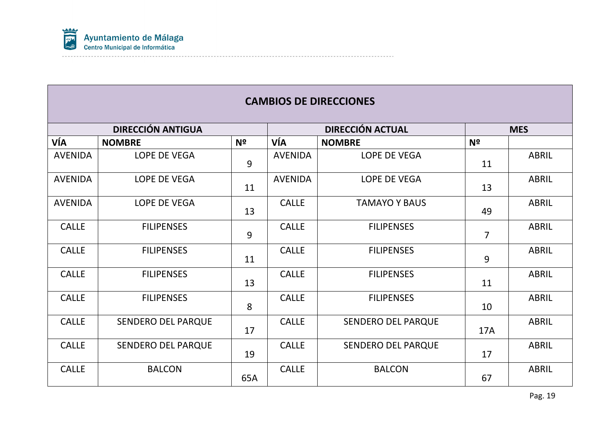

|                | <b>DIRECCIÓN ANTIGUA</b>  |                |                | <b>DIRECCIÓN ACTUAL</b>   | <b>MES</b>     |              |
|----------------|---------------------------|----------------|----------------|---------------------------|----------------|--------------|
| VÍA            | <b>NOMBRE</b>             | N <sup>o</sup> | VÍA            | <b>NOMBRE</b>             | N <sup>o</sup> |              |
| <b>AVENIDA</b> | <b>LOPE DE VEGA</b>       | 9              | <b>AVENIDA</b> | LOPE DE VEGA              |                | <b>ABRIL</b> |
| <b>AVENIDA</b> | LOPE DE VEGA              | 11             | <b>AVENIDA</b> | LOPE DE VEGA              | 13             | <b>ABRIL</b> |
| <b>AVENIDA</b> | LOPE DE VEGA              | 13             | <b>CALLE</b>   | <b>TAMAYO Y BAUS</b>      | 49             | <b>ABRIL</b> |
| <b>CALLE</b>   | <b>FILIPENSES</b>         | 9              | <b>CALLE</b>   | <b>FILIPENSES</b>         | $\overline{7}$ | <b>ABRIL</b> |
| <b>CALLE</b>   | <b>FILIPENSES</b>         | 11             | <b>CALLE</b>   | <b>FILIPENSES</b>         | 9              | <b>ABRIL</b> |
| <b>CALLE</b>   | <b>FILIPENSES</b>         | 13             | <b>CALLE</b>   | <b>FILIPENSES</b>         | 11             | <b>ABRIL</b> |
| <b>CALLE</b>   | <b>FILIPENSES</b>         | 8              | <b>CALLE</b>   | <b>FILIPENSES</b>         | 10             | <b>ABRIL</b> |
| <b>CALLE</b>   | <b>SENDERO DEL PARQUE</b> | 17             | <b>CALLE</b>   | <b>SENDERO DEL PARQUE</b> | <b>17A</b>     | <b>ABRIL</b> |
| <b>CALLE</b>   | SENDERO DEL PARQUE        | 19             | <b>CALLE</b>   | <b>SENDERO DEL PARQUE</b> | 17             | <b>ABRIL</b> |
| <b>CALLE</b>   | <b>BALCON</b>             | 65A            | <b>CALLE</b>   | <b>BALCON</b>             |                | <b>ABRIL</b> |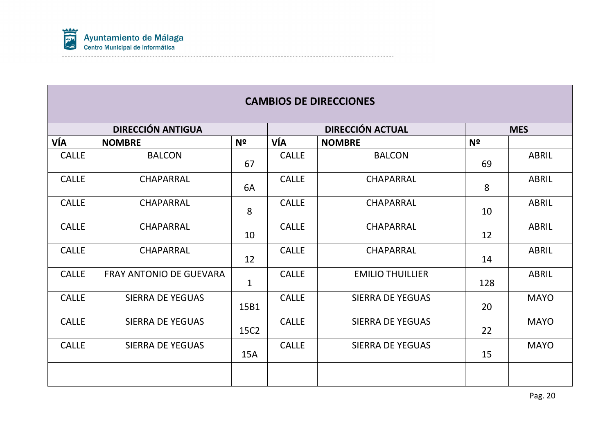

|              | <b>DIRECCIÓN ANTIGUA</b>       |                |              | <b>DIRECCIÓN ACTUAL</b> | <b>MES</b>     |              |
|--------------|--------------------------------|----------------|--------------|-------------------------|----------------|--------------|
| VÍA          | <b>NOMBRE</b>                  | N <sup>o</sup> | VÍA          | <b>NOMBRE</b>           | N <sup>o</sup> |              |
| <b>CALLE</b> | <b>BALCON</b>                  | 67             | <b>CALLE</b> | <b>BALCON</b>           | 69             | <b>ABRIL</b> |
| <b>CALLE</b> | <b>CHAPARRAL</b>               | 6A             | <b>CALLE</b> | <b>CHAPARRAL</b>        | 8              | <b>ABRIL</b> |
| <b>CALLE</b> | CHAPARRAL                      | 8              | <b>CALLE</b> | CHAPARRAL               | 10             | <b>ABRIL</b> |
| <b>CALLE</b> | <b>CHAPARRAL</b>               | 10             | <b>CALLE</b> | <b>CHAPARRAL</b>        | 12             | <b>ABRIL</b> |
| <b>CALLE</b> | <b>CHAPARRAL</b>               | 12             | <b>CALLE</b> | CHAPARRAL               | 14             | <b>ABRIL</b> |
| <b>CALLE</b> | <b>FRAY ANTONIO DE GUEVARA</b> | $\mathbf{1}$   | <b>CALLE</b> | <b>EMILIO THUILLIER</b> | 128            | <b>ABRIL</b> |
| <b>CALLE</b> | <b>SIERRA DE YEGUAS</b>        | 15B1           | <b>CALLE</b> | <b>SIERRA DE YEGUAS</b> | 20             | <b>MAYO</b>  |
| <b>CALLE</b> | <b>SIERRA DE YEGUAS</b>        | 15C2           | <b>CALLE</b> | <b>SIERRA DE YEGUAS</b> | 22             | <b>MAYO</b>  |
| <b>CALLE</b> | <b>SIERRA DE YEGUAS</b>        | 15A            | <b>CALLE</b> | <b>SIERRA DE YEGUAS</b> | 15             | <b>MAYO</b>  |
|              |                                |                |              |                         |                |              |